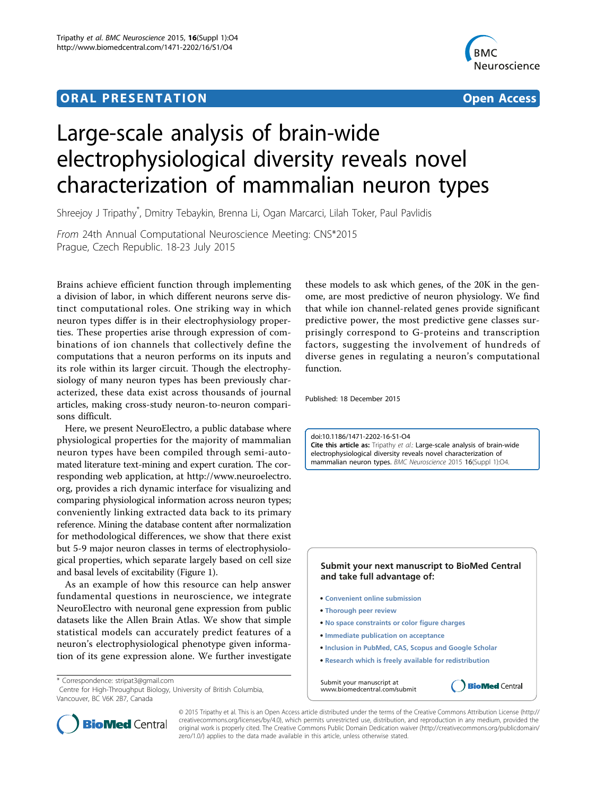## ORA L PR E S EN TA TION OPEN ACCESS OF THE SERVICE OF THE SERVICE OF THE SERVICE OF THE SERVICE OF THE SERVICE



## Large-scale analysis of brain-wide electrophysiological diversity reveals novel characterization of mammalian neuron types

Shreejoy J Tripathy\* , Dmitry Tebaykin, Brenna Li, Ogan Marcarci, Lilah Toker, Paul Pavlidis

From 24th Annual Computational Neuroscience Meeting: CNS\*2015 Prague, Czech Republic. 18-23 July 2015

Brains achieve efficient function through implementing a division of labor, in which different neurons serve distinct computational roles. One striking way in which neuron types differ is in their electrophysiology properties. These properties arise through expression of combinations of ion channels that collectively define the computations that a neuron performs on its inputs and its role within its larger circuit. Though the electrophysiology of many neuron types has been previously characterized, these data exist across thousands of journal articles, making cross-study neuron-to-neuron comparisons difficult.

Here, we present NeuroElectro, a public database where physiological properties for the majority of mammalian neuron types have been compiled through semi-automated literature text-mining and expert curation. The corresponding web application, at http://www.neuroelectro. org, provides a rich dynamic interface for visualizing and comparing physiological information across neuron types; conveniently linking extracted data back to its primary reference. Mining the database content after normalization for methodological differences, we show that there exist but 5-9 major neuron classes in terms of electrophysiological properties, which separate largely based on cell size and basal levels of excitability (Figure [1](#page-1-0)).

As an example of how this resource can help answer fundamental questions in neuroscience, we integrate NeuroElectro with neuronal gene expression from public datasets like the Allen Brain Atlas. We show that simple statistical models can accurately predict features of a neuron's electrophysiological phenotype given information of its gene expression alone. We further investigate

\* Correspondence: [stripat3@gmail.com](mailto:stripat3@gmail.com)

Centre for High-Throughput Biology, University of British Columbia, Vancouver, BC V6K 2B7, Canada

these models to ask which genes, of the 20K in the genome, are most predictive of neuron physiology. We find that while ion channel-related genes provide significant predictive power, the most predictive gene classes surprisingly correspond to G-proteins and transcription factors, suggesting the involvement of hundreds of diverse genes in regulating a neuron's computational function.

Published: 18 December 2015

doi:10.1186/1471-2202-16-S1-O4 Cite this article as: Tripathy et al.: Large-scale analysis of brain-wide electrophysiological diversity reveals novel characterization of mammalian neuron types. BMC Neuroscience 2015 16(Suppl 1):O4.

## **Submit your next manuscript to BioMed Central and take full advantage of:**

- **Convenient online submission**
- **Thorough peer review**
- **No space constraints or color figure charges**
- **Immediate publication on acceptance**
- **Inclusion in PubMed, CAS, Scopus and Google Scholar**
- **Research which is freely available for redistribution**

**BioMed** Central

Submit your manuscript at www.biomedcentral.com/submit



© 2015 Tripathy et al. This is an Open Access article distributed under the terms of the Creative Commons Attribution License [\(http://](http://creativecommons.org/licenses/by/4.0) [creativecommons.org/licenses/by/4.0](http://creativecommons.org/licenses/by/4.0)), which permits unrestricted use, distribution, and reproduction in any medium, provided the original work is properly cited. The Creative Commons Public Domain Dedication waiver ([http://creativecommons.org/publicdomain/](http://creativecommons.org/publicdomain/zero/1.0/) [zero/1.0/](http://creativecommons.org/publicdomain/zero/1.0/)) applies to the data made available in this article, unless otherwise stated.